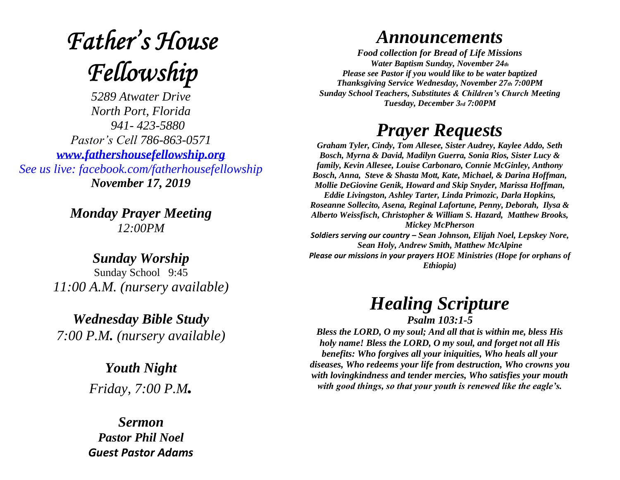# **Father's House** Fellowship

*5289 Atwater Drive North Port, Florida 941- 423-5880 Pastor's Cell 786-863-0571 [www.fathershousefellowship.org](http://www.fathershousefellowship.org/) See us live: facebook.com/fatherhousefellowship November 17, 2019*

> *Monday Prayer Meeting 12:00PM*

*Sunday Worship* Sunday School 9:45 *11:00 A.M. (nursery available)*

*Wednesday Bible Study 7:00 P.M. (nursery available)*

> *Youth Night Friday, 7:00 P.M.*

*Sermon Pastor Phil Noel Guest Pastor Adams*

#### *Announcements*

*Food collection for Bread of Life Missions Water Baptism Sunday, November 24th Please see Pastor if you would like to be water baptized Thanksgiving Service Wednesday, November 27th 7:00PM Sunday School Teachers, Substitutes & Children's Church Meeting Tuesday, December 3rd 7:00PM*

### *Prayer Requests*

*Graham Tyler, Cindy, Tom Allesee, Sister Audrey, Kaylee Addo, Seth Bosch, Myrna & David, Madilyn Guerra, Sonia Rios, Sister Lucy & family, Kevin Allesee, Louise Carbonaro, Connie McGinley, Anthony Bosch, Anna, Steve & Shasta Mott, Kate, Michael, & Darina Hoffman, Mollie DeGiovine Genik, Howard and Skip Snyder, Marissa Hoffman, Eddie Livingston, Ashley Tarter, Linda Primozic, Darla Hopkins, Roseanne Sollecito, Asena, Reginal Lafortune, Penny, Deborah, Ilysa & Alberto Weissfisch, Christopher & William S. Hazard, Matthew Brooks, Mickey McPherson Soldiers serving our country – Sean Johnson, Elijah Noel, Lepskey Nore, Sean Holy, Andrew Smith, Matthew McAlpine*

*Please our missions in your prayers HOE Ministries (Hope for orphans of Ethiopia)*

## *Healing Scripture*

*Psalm 103:1-5 Bless the LORD, O my soul; And all that is within me, bless His holy name! Bless the LORD, O my soul, and forget not all His benefits: Who forgives all your iniquities, Who heals all your diseases, Who redeems your life from destruction, Who crowns you with lovingkindness and tender mercies, Who satisfies your mouth with good things, so that your youth is renewed like the eagle's.*